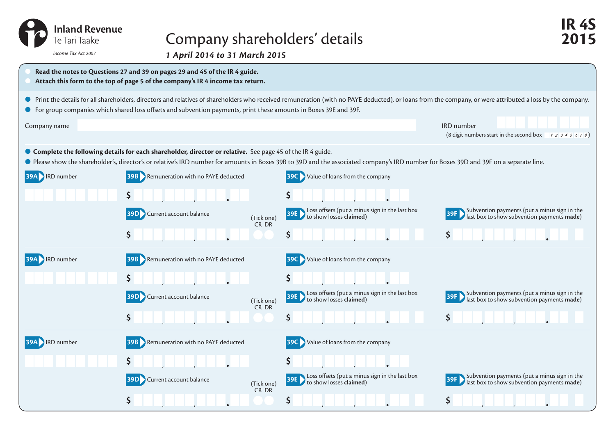| <b>Inland Revenue</b><br>Te Tari Taake |
|----------------------------------------|
| Income Tay Act 2007                    |

## Company shareholders' details **2015**

*1 April 2014 to 31 March 2015 Income Tax Act 2007*

| Read the notes to Questions 27 and 39 on pages 29 and 45 of the IR 4 guide.<br>Attach this form to the top of page 5 of the company's IR 4 income tax return.                                                                                                                                                                   |                                               |                     |                                                                                  |                                                                                                           |  |
|---------------------------------------------------------------------------------------------------------------------------------------------------------------------------------------------------------------------------------------------------------------------------------------------------------------------------------|-----------------------------------------------|---------------------|----------------------------------------------------------------------------------|-----------------------------------------------------------------------------------------------------------|--|
| ● Print the details for all shareholders, directors and relatives of shareholders who received remuneration (with no PAYE deducted), or loans from the company, or were attributed a loss by the company.<br>● For group companies which shared loss offsets and subvention payments, print these amounts in Boxes 39E and 39F. |                                               |                     |                                                                                  |                                                                                                           |  |
| Company name                                                                                                                                                                                                                                                                                                                    |                                               |                     |                                                                                  | <b>IRD</b> number<br>(8 digit numbers start in the second box $\begin{array}{c} 1234567 \\ 2 \end{array}$ |  |
| ● Complete the following details for each shareholder, director or relative. See page 45 of the IR 4 guide.<br>● Please show the shareholder's, director's or relative's IRD number for amounts in Boxes 39B to 39D and the associated company's IRD number for Boxes 39D and 39F on a separate line.                           |                                               |                     |                                                                                  |                                                                                                           |  |
| <b>39A IRD</b> number                                                                                                                                                                                                                                                                                                           | <b>39B</b> Remuneration with no PAYE deducted |                     | <b>39C</b> Value of loans from the company                                       |                                                                                                           |  |
|                                                                                                                                                                                                                                                                                                                                 | <b>39D</b> Current account balance            | (Tick one)          | Ş.<br>Loss offsets (put a minus sign in the last box<br>to show losses claimed)  | Subvention payments (put a minus sign in the<br>last box to show subvention payments made)                |  |
|                                                                                                                                                                                                                                                                                                                                 | \$                                            | CR DR               | \$.                                                                              | $\mathsf{S}$                                                                                              |  |
| <b>IRD</b> number                                                                                                                                                                                                                                                                                                               | <b>39B</b> Remuneration with no PAYE deducted |                     | Value of loans from the company<br>39C                                           |                                                                                                           |  |
|                                                                                                                                                                                                                                                                                                                                 | <b>39D</b> Current account balance            | (Tick one)          | \$<br>Loss offsets (put a minus sign in the last box<br>to show losses claimed)  | Subvention payments (put a minus sign in the<br>last box to show subvention payments made)                |  |
|                                                                                                                                                                                                                                                                                                                                 | \$                                            | CR DR               | \$                                                                               | $\mathsf{S}$                                                                                              |  |
| <b>39A</b> RD number                                                                                                                                                                                                                                                                                                            | Remuneration with no PAYE deducted            |                     | Value of loans from the company                                                  |                                                                                                           |  |
|                                                                                                                                                                                                                                                                                                                                 |                                               |                     | \$                                                                               |                                                                                                           |  |
|                                                                                                                                                                                                                                                                                                                                 | Current account balance<br>39D                | (Tick one)<br>CR DR | Loss offsets (put a minus sign in the last box<br>39E<br>to show losses claimed) | Subvention payments (put a minus sign in the<br>last box to show subvention payments made)                |  |
|                                                                                                                                                                                                                                                                                                                                 | \$                                            |                     | \$                                                                               | \$                                                                                                        |  |